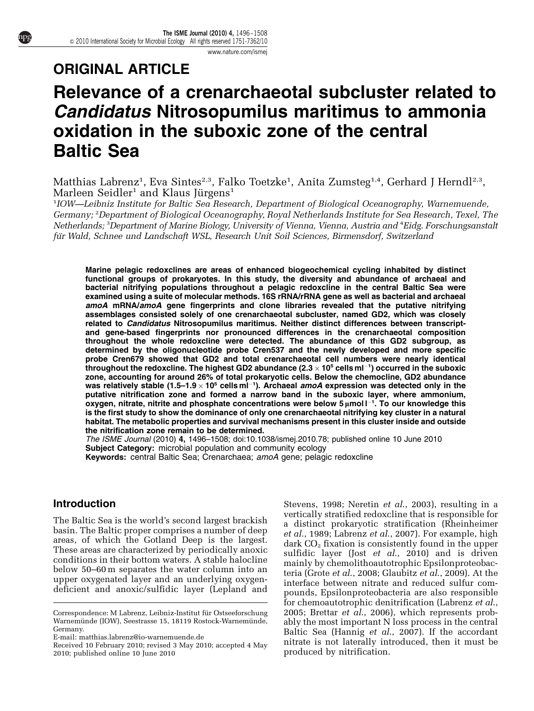[www.nature.com/ismej](http://www.nature.com/ismej)

## ORIGINAL ARTICLE

# Relevance of a crenarchaeotal subcluster related to Candidatus Nitrosopumilus maritimus to ammonia oxidation in the suboxic zone of the central Baltic Sea

Matthias Labrenz<sup>1</sup>, Eva Sintes<sup>2,3</sup>, Falko Toetzke<sup>1</sup>, Anita Zumsteg<sup>1,4</sup>, Gerhard J Herndl<sup>2,3</sup>, Marleen Seidler<sup>1</sup> and Klaus Jürgens<sup>1</sup>

<sup>1</sup>IOW—Leibniz Institute for Baltic Sea Research, Department of Biological Oceanography, Warnemuende, Germany; <sup>2</sup> Department of Biological Oceanography, Royal Netherlands Institute for Sea Research, Texel, The Netherlands; <sup>3</sup>Department of Marine Biology, University of Vienna, Vienna, Austria and <sup>4</sup>Eidg. Forschungsanstalt für Wald, Schnee und Landschaft WSL, Research Unit Soil Sciences, Birmensdorf, Switzerland

Marine pelagic redoxclines are areas of enhanced biogeochemical cycling inhabited by distinct functional groups of prokaryotes. In this study, the diversity and abundance of archaeal and bacterial nitrifying populations throughout a pelagic redoxcline in the central Baltic Sea were examined using a suite of molecular methods. 16S rRNA/rRNA gene as well as bacterial and archaeal amoA mRNA/amoA gene fingerprints and clone libraries revealed that the putative nitrifying assemblages consisted solely of one crenarchaeotal subcluster, named GD2, which was closely related to Candidatus Nitrosopumilus maritimus. Neither distinct differences between transcriptand gene-based fingerprints nor pronounced differences in the crenarchaeotal composition throughout the whole redoxcline were detected. The abundance of this GD2 subgroup, as determined by the oligonucleotide probe Cren537 and the newly developed and more specific probe Cren679 showed that GD2 and total crenarchaeotal cell numbers were nearly identical throughout the redoxcline. The highest GD2 abundance (2.3  $\times$  10<sup>5</sup> cells ml $^{-1}$ ) occurred in the suboxic zone, accounting for around 26% of total prokaryotic cells. Below the chemocline, GD2 abundance was relatively stable (1.5–1.9  $\times$  10<sup>5</sup> cellsml $^{-1}$ ). Archaeal *amoA* expression was detected only in the putative nitrification zone and formed a narrow band in the suboxic layer, where ammonium, oxygen, nitrate, nitrite and phosphate concentrations were below  $5\,\mu$ mol  $l^{-1}$ . To our knowledge this is the first study to show the dominance of only one crenarchaeotal nitrifying key cluster in a natural habitat. The metabolic properties and survival mechanisms present in this cluster inside and outside the nitrification zone remain to be determined.

The ISME Journal (2010) 4, 1496–1508; doi:[10.1038/ismej.2010.78;](http://dx.doi.org/10.1038/ismej.2010.78) published online 10 June 2010 Subject Category: microbial population and community ecology

Keywords: central Baltic Sea; Crenarchaea; amoA gene; pelagic redoxcline

### **Introduction**

The Baltic Sea is the world's second largest brackish basin. The Baltic proper comprises a number of deep areas, of which the Gotland Deep is the largest. These areas are characterized by periodically anoxic conditions in their bottom waters. A stable halocline below 50–60 m separates the water column into an upper oxygenated layer and an underlying oxygendeficient and anoxic/sulfidic layer [\(Lepland and](#page-11-0) [Stevens, 1998](#page-11-0); [Neretin](#page-11-0) et al., 2003), resulting in a vertically stratified redoxcline that is responsible for a distinct prokaryotic stratification [\(Rheinheimer](#page-12-0) et al[., 1989;](#page-12-0) [Labrenz](#page-11-0) et al., 2007). For example, high dark CO<sub>2</sub> fixation is consistently found in the upper sulfidic layer (Jost  $et$  al[., 2010](#page-11-0)) and is driven mainly by chemolithoautotrophic Epsilonproteobacteria (Grote et al[., 2008; Glaubitz](#page-11-0) et al., 2009). At the interface between nitrate and reduced sulfur compounds, Epsilonproteobacteria are also responsible for chemoautotrophic denitrification ([Labrenz](#page-11-0) et al., [2005;](#page-11-0) Brettar  $et$   $al.,$  2006), which represents probably the most important N loss process in the central Baltic Sea [\(Hannig](#page-11-0) et al., 2007). If the accordant nitrate is not laterally introduced, then it must be

Correspondence: M Labrenz, Leibniz-Institut für Ostseeforschung Warnemünde (IOW), Seestrasse 15, 18119 Rostock-Warnemünde, Germany.

E-mail: [matthias.labrenz@io-warnemuende.de](mailto:matthias.labrenz@io-warnemuende.de)

produced by nitrification. Received 10 February 2010; revised 3 May 2010; accepted 4 May 2010; published online 10 June 2010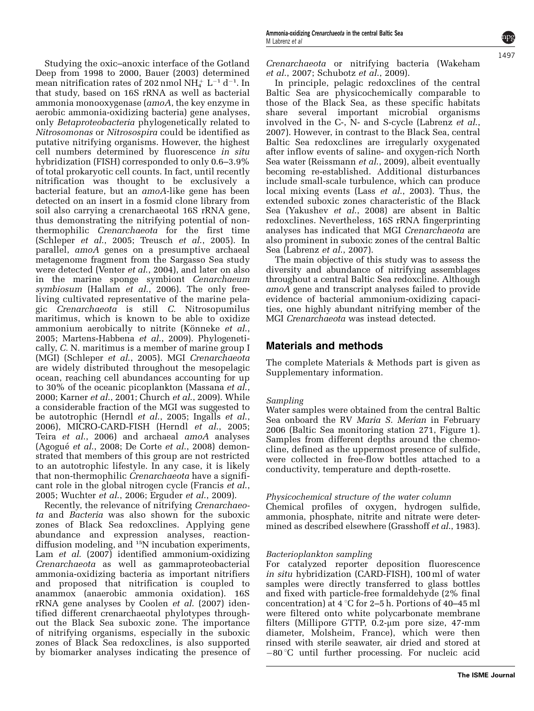Studying the oxic–anoxic interface of the Gotland Deep from 1998 to 2000, [Bauer \(2003\)](#page-10-0) determined mean nitrification rates of 202 nmol  $\mathrm{NH}_4^+$  L $^{-1}$  d $^{-1}$ . In that study, based on 16S rRNA as well as bacterial ammonia monooxygenase (amoA, the key enzyme in aerobic ammonia-oxidizing bacteria) gene analyses, only Betaproteobacteria phylogenetically related to Nitrosomonas or Nitrosospira could be identified as putative nitrifying organisms. However, the highest cell numbers determined by fluorescence in situ hybridization (FISH) corresponded to only 0.6–3.9% of total prokaryotic cell counts. In fact, until recently nitrification was thought to be exclusively a bacterial feature, but an amoA-like gene has been detected on an insert in a fosmid clone library from soil also carrying a crenarchaeotal 16S rRNA gene, thus demonstrating the nitrifying potential of nonthermophilic Crenarchaeota for the first time [\(Schleper](#page-12-0) et al., 2005; [Treusch](#page-12-0) et al., 2005). In parallel, amoA genes on a presumptive archaeal metagenome fragment from the Sargasso Sea study were detected (Venter *et al.*, 2004), and later on also in the marine sponge symbiont Cenarchaeum symbiosum ([Hallam](#page-11-0) et al., 2006). The only freeliving cultivated representative of the marine pelagic Crenarchaeota is still C. Nitrosopumilus maritimus, which is known to be able to oxidize ammonium aerobically to nitrite (Könneke *et al.*, [2005; Martens-Habbena](#page-11-0) et al., 2009). Phylogenetically, C. N. maritimus is a member of marine group I (MGI) ([Schleper](#page-12-0) et al., 2005). MGI Crenarchaeota are widely distributed throughout the mesopelagic ocean, reaching cell abundances accounting for up to 30% of the oceanic picoplankton ([Massana](#page-11-0) et al., [2000; Karner](#page-11-0) et al., 2001; [Church](#page-10-0) et al., 2009). While a considerable fraction of the MGI was suggested to be autotrophic (Herndl *et al.*, 2005; [Ingalls](#page-11-0) *et al.*, [2006\)](#page-11-0), MICRO-CARD-FISH (Herndl et al[., 2005;](#page-11-0) Teira et al[., 2006](#page-12-0)) and archaeal amoA analyses  $(Agogué et al., 2008; De Corte et al., 2008) demon (Agogué et al., 2008; De Corte et al., 2008) demon (Agogué et al., 2008; De Corte et al., 2008) demon$ strated that members of this group are not restricted to an autotrophic lifestyle. In any case, it is likely that non-thermophilic Crenarchaeota have a significant role in the global nitrogen cycle ([Francis](#page-11-0) et al., [2005;](#page-11-0) [Wuchter](#page-12-0) et al., 2006; [Erguder](#page-11-0) et al., 2009).

Recently, the relevance of nitrifying Crenarchaeota and Bacteria was also shown for the suboxic zones of Black Sea redoxclines. Applying gene abundance and expression analyses, reactiondiffusion modeling, and <sup>15</sup>N incubation experiments, Lam et al[. \(2007\)](#page-11-0) identified ammonium-oxidizing Crenarchaeota as well as gammaproteobacterial ammonia-oxidizing bacteria as important nitrifiers and proposed that nitrification is coupled to anammox (anaerobic ammonia oxidation). 16S rRNA gene analyses by Coolen et al[. \(2007\)](#page-10-0) identified different crenarchaeotal phylotypes throughout the Black Sea suboxic zone. The importance of nitrifying organisms, especially in the suboxic zones of Black Sea redoxclines, is also supported by biomarker analyses indicating the presence of Crenarchaeota or nitrifying bacteria ([Wakeham](#page-12-0) et al[., 2007; Schubotz](#page-12-0) et al., 2009).

In principle, pelagic redoxclines of the central Baltic Sea are physicochemically comparable to those of the Black Sea, as these specific habitats share several important microbial organisms involved in the C-, N- and S-cycle [\(Labrenz](#page-11-0) et al., [2007\)](#page-11-0). However, in contrast to the Black Sea, central Baltic Sea redoxclines are irregularly oxygenated after inflow events of saline- and oxygen-rich North Sea water [\(Reissmann](#page-12-0) et al., 2009), albeit eventually becoming re-established. Additional disturbances include small-scale turbulence, which can produce local mixing events (Lass et al[., 2003\)](#page-11-0). Thus, the extended suboxic zones characteristic of the Black Sea [\(Yakushev](#page-12-0) et al., 2008) are absent in Baltic redoxclines. Nevertheless, 16S rRNA fingerprinting analyses has indicated that MGI Crenarchaeota are also prominent in suboxic zones of the central Baltic Sea [\(Labrenz](#page-11-0) et al., 2007).

The main objective of this study was to assess the diversity and abundance of nitrifying assemblages throughout a central Baltic Sea redoxcline. Although amoA gene and transcript analyses failed to provide evidence of bacterial ammonium-oxidizing capacities, one highly abundant nitrifying member of the MGI Crenarchaeota was instead detected.

### Materials and methods

The complete Materials & Methods part is given as Supplementary information.

### Sampling

Water samples were obtained from the central Baltic Sea onboard the RV Maria S. Merian in February 2006 (Baltic Sea monitoring station 271, [Figure 1\)](#page-2-0). Samples from different depths around the chemocline, defined as the uppermost presence of sulfide, were collected in free-flow bottles attached to a conductivity, temperature and depth-rosette.

### Physicochemical structure of the water column

Chemical profiles of oxygen, hydrogen sulfide, ammonia, phosphate, nitrite and nitrate were determined as described elsewhere ([Grasshoff](#page-11-0) et al., 1983).

### Bacterioplankton sampling

For catalyzed reporter deposition fluorescence in situ hybridization (CARD-FISH), 100 ml of water samples were directly transferred to glass bottles and fixed with particle-free formaldehyde (2% final concentration) at  $4^{\circ}$ C for 2–5 h. Portions of 40–45 ml were filtered onto white polycarbonate membrane filters (Millipore GTTP,  $0.2$ - $\mu$ m pore size, 47-mm diameter, Molsheim, France), which were then rinsed with sterile seawater, air dried and stored at  $-80^{\circ}$ C until further processing. For nucleic acid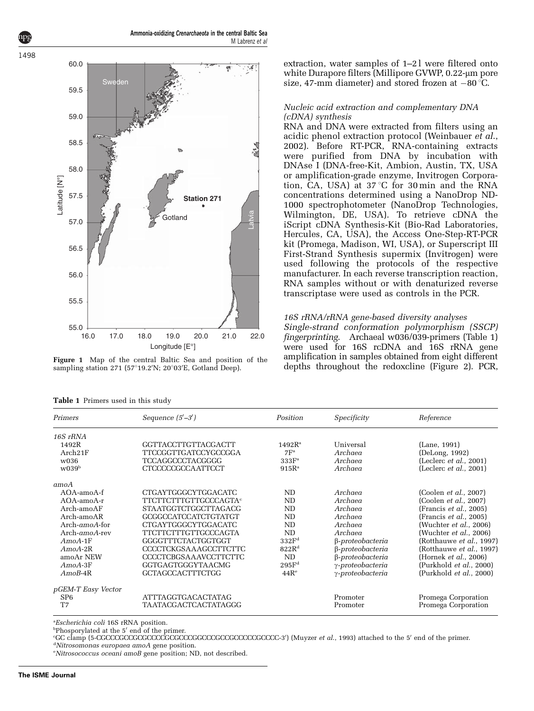<span id="page-2-0"></span>

Figure 1 Map of the central Baltic Sea and position of the sampling station 271 (57°19.2′N; 20°03′E, Gotland Deep).

extraction, water samples of  $1-2$  were filtered onto white Durapore filters (Millipore GVWP, 0.22-µm pore size, 47-mm diameter) and stored frozen at  $-80^{\circ}$ C.

#### Nucleic acid extraction and complementary DNA (cDNA) synthesis

RNA and DNA were extracted from filters using an acidic phenol extraction protocol [\(Weinbauer](#page-12-0) et al., [2002\)](#page-12-0). Before RT-PCR, RNA-containing extracts were purified from DNA by incubation with DNAse I (DNA-free-Kit, Ambion, Austin, TX, USA or amplification-grade enzyme, Invitrogen Corporation,  $\hat{C}A$ , USA) at 37 °C for 30 min and the  $\hat{R}NA$ concentrations determined using a NanoDrop ND-1000 spectrophotometer (NanoDrop Technologies, Wilmington, DE, USA). To retrieve cDNA the iScript cDNA Synthesis-Kit (Bio-Rad Laboratories, Hercules, CA, USA), the Access One-Step-RT-PCR kit (Promega, Madison, WI, USA), or Superscript III First-Strand Synthesis supermix (Invitrogen) were used following the protocols of the respective manufacturer. In each reverse transcription reaction, RNA samples without or with denaturized reverse transcriptase were used as controls in the PCR.

#### 16S rRNA/rRNA gene-based diversity analyses

Single-strand conformation polymorphism (SSCP) fingerprinting. Archaeal w036/039-primers (Table 1) were used for 16S rcDNA and 16S rRNA gene amplification in samples obtained from eight different depths throughout the redoxcline [\(Figure 2](#page-3-0)). PCR,

| Primers                       | Sequence $(5'-3')$                      | Position           | Specificity              | Reference                      |
|-------------------------------|-----------------------------------------|--------------------|--------------------------|--------------------------------|
| 16S rRNA                      |                                         |                    |                          |                                |
| 1492R                         | GGTTACCTTGTTACGACTT                     | 1492R <sup>a</sup> | Universal                | (Lane, 1991)                   |
| Arch21F                       | <b>TTCCGGTTGATCCYGCCGGA</b>             | 7F <sup>a</sup>    | Archaea                  | (DeLong, 1992)                 |
| w036                          | <b>TCCAGGCCCTACGGGG</b>                 | 333F <sup>a</sup>  | Archaea                  | (Leclerc $et$ al., 2001)       |
| w039 <sup>b</sup>             | <b>CTCCCCCGCCAATTCCT</b>                | $915R^a$           | Archaea                  | (Leclerc $et$ al., 2001)       |
| amoA                          |                                         |                    |                          |                                |
| $AOA$ -amo $A$ -f             | CTGAYTGGGCYTGGACATC                     | ND                 | Archaea                  | (Coolen et al., 2007)          |
| $AOA$ -amo $A$ -r             | <b>TTCTTCTTTGTTGCCCAGTA<sup>c</sup></b> | ND                 | Archaea                  | (Coolen et al., 2007)          |
| Arch-amoAF                    | <b>STAATGGTCTGGCTTAGACG</b>             | <b>ND</b>          | Archaea                  | (Francis et al., 2005)         |
| Arch-amoAR                    | GCGGCCATCCATCTGTATGT                    | ND                 | Archaea                  | (Francis et al., 2005)         |
| $Arch\text{-}amoA\text{-}for$ | <b>CTGAYTGGGCYTGGACATC</b>              | <b>ND</b>          | Archaea                  | (Wuchter <i>et al.,</i> 2006)  |
| $Arch\text{-}amoA\text{-}rev$ | <b>TTCTTCTTTGTTGCCCAGTA</b>             | ND.                | Archaea                  | (Wuchter <i>et al.</i> , 2006) |
| $A$ mo $A$ -1 $F$             | GGGGTTTCTACTGGTGGT                      | 332F <sup>d</sup>  | $\beta$ -proteobacteria  | (Rotthauwe et al., 1997)       |
| $A$ mo $A$ -2 $R$             | <b>CCCCTCKGSAAAGCCTTCTTC</b>            | 822R <sup>d</sup>  | β-proteobacteria         | (Rotthauwe et al., 1997)       |
| amoAr NEW                     | <b>CCCCTCBGSAAAVCCTTCTTC</b>            | ND                 | $\beta$ -proteobacteria  | (Hornek et al., 2006)          |
| $A$ mo $A$ -3 $F$             | GGTGAGTGGGYTAACMG                       | 295F <sup>d</sup>  | $\gamma$ -proteobacteria | (Purkhold et al., 2000)        |
| $AmoB-4R$                     | <b>GCTAGCCACTTTCTGG</b>                 | 44R <sup>e</sup>   | $\gamma$ -proteobacteria | (Purkhold et al., 2000)        |
| pGEM-T Easy Vector            |                                         |                    |                          |                                |
| SP <sub>6</sub>               | <b>ATTTAGGTGACACTATAG</b>               |                    | Promoter                 | Promega Corporation            |
| T7                            | <b>TAATACGACTCACTATAGGG</b>             |                    | Promoter                 | Promega Corporation            |

Table 1 Primers used in this study

<sup>a</sup>Escherichia coli 16S rRNA position.

bPhosporylated at the 5' end of the primer.<br>CCC clamp (5-CCCCCCCCCCCCCCCCCCCCC

GC clamp (5-CGCCCGCCGCGCCCCGCGCCCGGCCCGCCGCCCCCGCCCC-3<sup>0</sup> ) [\(Muyzer](#page-11-0) et al., 1993) attached to the 5<sup>0</sup> end of the primer. d Nitrosomonas europaea amoA gene position.

<sup>e</sup>Nitrosococcus oceani amoB gene position; ND, not described.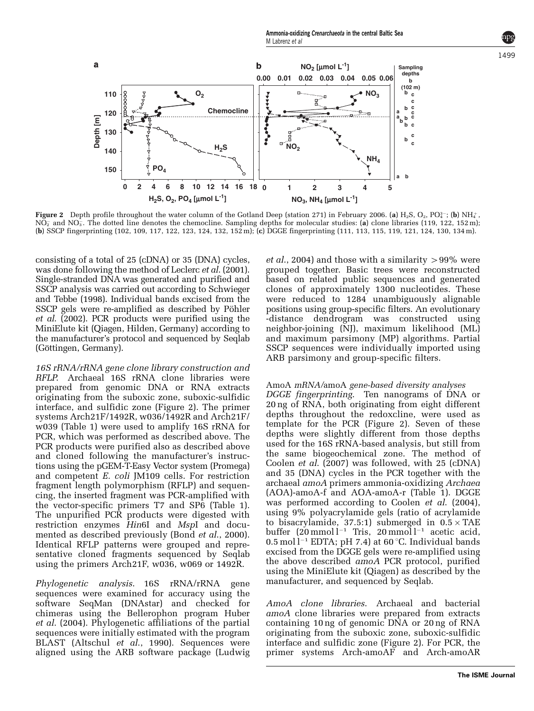<span id="page-3-0"></span>

**Figure 2** Depth profile throughout the water column of the Gotland Deep (station 271) in February 2006. (a) H<sub>2</sub>S, O<sub>2</sub>, PO $_4^{\rm a-}$ ; (b) NH $_4^{\rm +}$ , NO $_2^-$  and NO $_3^-$ . The dotted line denotes the chemocline. Sampling depths for molecular studies: (a) clone libraries (119, 122, 152 m); (b) SSCP fingerprinting (102, 109, 117, 122, 123, 124, 132, 152 m); (c) DGGE fingerprinting (111, 113, 115, 119, 121, 124, 130, 134 m).

consisting of a total of 25 (cDNA) or 35 (DNA) cycles, was done following the method of Leclerc *et al.* (2001). Single-stranded DNA was generated and purified and SSCP analysis was carried out according to [Schwieger](#page-12-0) [and Tebbe \(1998\)](#page-12-0). Individual bands excised from the SSCP gels were re-amplified as described by Pöhler et al[. \(2002\)](#page-11-0). PCR products were purified using the MiniElute kit (Qiagen, Hilden, Germany) according to the manufacturer's protocol and sequenced by Seqlab (Göttingen, Germany).

16S rRNA/rRNA gene clone library construction and RFLP. Archaeal 16S rRNA clone libraries were prepared from genomic DNA or RNA extracts originating from the suboxic zone, suboxic-sulfidic interface, and sulfidic zone (Figure 2). The primer systems Arch21F/1492R, w036/1492R and Arch21F/ w039 ([Table 1](#page-2-0)) were used to amplify 16S rRNA for PCR, which was performed as described above. The PCR products were purified also as described above and cloned following the manufacturer's instructions using the pGEM-T-Easy Vector system (Promega) and competent E. coli JM109 cells. For restriction fragment length polymorphism (RFLP) and sequencing, the inserted fragment was PCR-amplified with the vector-specific primers T7 and SP6 [\(Table 1\)](#page-2-0). The unpurified PCR products were digested with restriction enzymes Hin6I and MspI and documented as described previously (Bond *et al.*, 2000). Identical RFLP patterns were grouped and representative cloned fragments sequenced by Seqlab using the primers Arch21F, w036, w069 or 1492R.

Phylogenetic analysis. 16S rRNA/rRNA gene sequences were examined for accuracy using the software SeqMan (DNAstar) and checked for chimeras using the Bellerophon program [Huber](#page-11-0) et al[. \(2004\).](#page-11-0) Phylogenetic affiliations of the partial sequences were initially estimated with the program BLAST [\(Altschul](#page-10-0) et al., 1990). Sequences were aligned using the ARB software package ([Ludwig](#page-11-0)

*et al.*, 2004) and those with a similarity  $> 99\%$  were grouped together. Basic trees were reconstructed based on related public sequences and generated clones of approximately 1300 nucleotides. These were reduced to 1284 unambiguously alignable positions using group-specific filters. An evolutionary -distance dendrogram was constructed using neighbor-joining (NJ), maximum likelihood (ML) and maximum parsimony (MP) algorithms. Partial SSCP sequences were individually imported using ARB parsimony and group-specific filters.

#### AmoA mRNA/amoA gene-based diversity analyses

DGGE fingerprinting. Ten nanograms of DNA or 20 ng of RNA, both originating from eight different depths throughout the redoxcline, were used as template for the PCR (Figure 2). Seven of these depths were slightly different from those depths used for the 16S rRNA-based analysis, but still from the same biogeochemical zone. The method of Coolen et al[. \(2007\)](#page-10-0) was followed, with 25 (cDNA) and 35 (DNA) cycles in the PCR together with the archaeal amoA primers ammonia-oxidizing Archaea (AOA)-amoA-f and AOA-amoA-r [\(Table 1\)](#page-2-0). DGGE was performed according to Coolen et al[. \(2004\),](#page-10-0) using 9% polyacrylamide gels (ratio of acrylamide to bisacrylamide, 37.5:1) submerged in  $0.5 \times \text{TAE}$ buffer  $(20 \text{ mmol } l^{-1}$  Tris,  $20 \text{ mmol } l^{-1}$  acetic acid,  $0.5 \text{ mol}$  l<sup>-1</sup> EDTA; pH 7.4) at 60 °C. Individual bands excised from the DGGE gels were re-amplified using the above described amoA PCR protocol, purified using the MiniElute kit (Qiagen) as described by the manufacturer, and sequenced by Seqlab.

AmoA clone libraries. Archaeal and bacterial amoA clone libraries were prepared from extracts containing 10 ng of genomic DNA or 20 ng of RNA originating from the suboxic zone, suboxic-sulfidic interface and sulfidic zone (Figure 2). For PCR, the primer systems Arch-amoAF and Arch-amoAR

**The ISME Journal**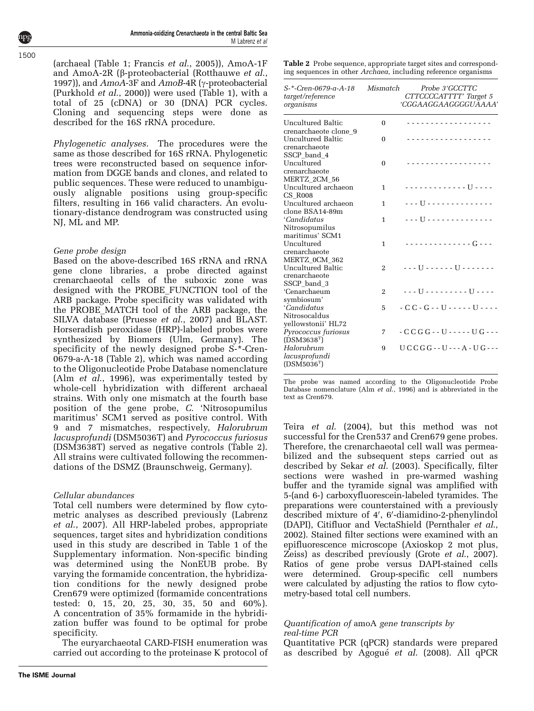<span id="page-4-0"></span>(archaeal [\(Table 1;](#page-2-0) [Francis](#page-11-0) et al., 2005)), AmoA-1F and AmoA-2R ( $\beta$ -proteobacterial [\(Rotthauwe](#page-12-0) *et al.*, [1997\)](#page-12-0)), and  $A$ mo $A$ -3F and  $A$ mo $B$ -4R ( $\gamma$ -proteobacterial ([Purkhold](#page-12-0) et al., 2000)) were used [\(Table 1](#page-2-0)), with a total of 25 (cDNA) or 30 (DNA) PCR cycles. Cloning and sequencing steps were done as described for the 16S rRNA procedure.

Phylogenetic analyses. The procedures were the same as those described for 16S rRNA. Phylogenetic trees were reconstructed based on sequence information from DGGE bands and clones, and related to public sequences. These were reduced to unambiguously alignable positions using group-specific filters, resulting in 166 valid characters. An evolutionary-distance dendrogram was constructed using NJ, ML and MP.

### Gene probe design

Based on the above-described 16S rRNA and rRNA gene clone libraries, a probe directed against crenarchaeotal cells of the suboxic zone was designed with the PROBE\_FUNCTION tool of the ARB package. Probe specificity was validated with the PROBE\_MATCH tool of the ARB package, the SILVA database [\(Pruesse](#page-12-0) et al., 2007) and BLAST. Horseradish peroxidase (HRP)-labeled probes were synthesized by Biomers (Ulm, Germany). The specificity of the newly designed probe S-\*-Cren-0679-a-A-18 (Table 2), which was named according to the Oligonucleotide Probe Database nomenclature (Alm et al[., 1996](#page-10-0)), was experimentally tested by whole-cell hybridization with different archaeal strains. With only one mismatch at the fourth base position of the gene probe, C. 'Nitrosopumilus maritimus' SCM1 served as positive control. With 9 and 7 mismatches, respectively, Halorubrum lacusprofundi (DSM5036T) and Pyrococcus furiosus (DSM3638T) served as negative controls (Table 2). All strains were cultivated following the recommendations of the DSMZ (Braunschweig, Germany).

### Cellular abundances

Total cell numbers were determined by flow cytometric analyses as described previously ([Labrenz](#page-11-0) et al[., 2007](#page-11-0)). All HRP-labeled probes, appropriate sequences, target sites and hybridization conditions used in this study are described in [Table 1](#page-2-0) of the Supplementary information. Non-specific binding was determined using the NonEUB probe. By varying the formamide concentration, the hybridization conditions for the newly designed probe Cren679 were optimized (formamide concentrations tested: 0, 15, 20, 25, 30, 35, 50 and 60%). A concentration of 35% formamide in the hybridization buffer was found to be optimal for probe specificity.

The euryarchaeotal CARD-FISH enumeration was carried out according to the proteinase K protocol of Table 2 Probe sequence, appropriate target sites and corresponding sequences in other Archaea, including reference organisms

| S-*-Cren-0679-a-A-18<br>target/reference<br>organisms                | Mismatch       | Probe 3'GCCTTC<br>CTTCCCCATTTT' Target 5<br>'CGGAAGGAAGGGGUAAAA' |
|----------------------------------------------------------------------|----------------|------------------------------------------------------------------|
| Uncultured Baltic<br>crenarchaeote clone 9                           | $\Omega$       |                                                                  |
| <b>Uncultured Baltic</b>                                             | $\Omega$       | .                                                                |
| crenarchaeote<br>SSCP band 4<br>Uncultured<br>crenarchaeote          | $\Omega$       |                                                                  |
| MERTZ 2CM 56<br>Uncultured archaeon                                  | 1              | - - - - - - - - - - - - U - - - -                                |
| <b>CS R008</b><br>Uncultured archaeon                                | 1              | . U                                                              |
| clone BSA14-89m<br>'Candidatus                                       | 1              |                                                                  |
| Nitrosopumilus<br>maritimus' SCM1                                    |                |                                                                  |
| Uncultured<br>crenarchaeote                                          | $\mathbf{1}$   | <u>       - - - - - - - - - - - - - G - - -</u>                  |
| MERTZ OCM 362<br><b>Uncultured Baltic</b><br>crenarchaeote           | $\overline{2}$ | <u> - - - II - - - - - - II - - - - - - -</u>                    |
| SSCP band 3<br>'Cenarchaeum<br>symbiosum'                            | $\mathfrak{D}$ | - - - U - - - - - - - - - U - - - -                              |
| 'Candidatus<br>Nitrosocaldus                                         | 5              | $-C.C - G - U - - - U - - -$                                     |
| yellowstonii' HL72<br>Pyrococcus furiosus<br>(DSM3638 <sup>T</sup> ) | 7              | $-CCGG-UI---UG-1$                                                |
| Halorubrum<br>lacusprofundi<br>(DSM5036 <sup>T</sup> )               | 9              | $UCCGG--U--A-UG--$                                               |

The probe was named according to the Oligonucleotide Probe Database nomenclature (Alm et al[., 1996\)](#page-10-0) and is abbreviated in the text as Cren679.

Teira et al[. \(2004\)](#page-12-0), but this method was not successful for the Cren537 and Cren679 gene probes. Therefore, the crenarchaeotal cell wall was permeabilized and the subsequent steps carried out as described by Sekar et al[. \(2003\)](#page-12-0). Specifically, filter sections were washed in pre-warmed washing buffer and the tyramide signal was amplified with 5-(and 6-) carboxyfluorescein-labeled tyramides. The preparations were counterstained with a previously described mixture of 4', 6'-diamidino-2-phenylindol (DAPI), Citifluor and VectaShield [\(Pernthaler](#page-11-0) et al., [2002\)](#page-11-0). Stained filter sections were examined with an epifluorescence microscope (Axioskop 2 mot plus, Zeiss) as described previously (Grote et al[., 2007\)](#page-11-0). Ratios of gene probe versus DAPI-stained cells were determined. Group-specific cell numbers were calculated by adjusting the ratios to flow cytometry-based total cell numbers.

### Quantification of amoA gene transcripts by real-time PCR

Quantitative PCR (qPCR) standards were prepared as described by Agogué *et al.* (2008). All qPCR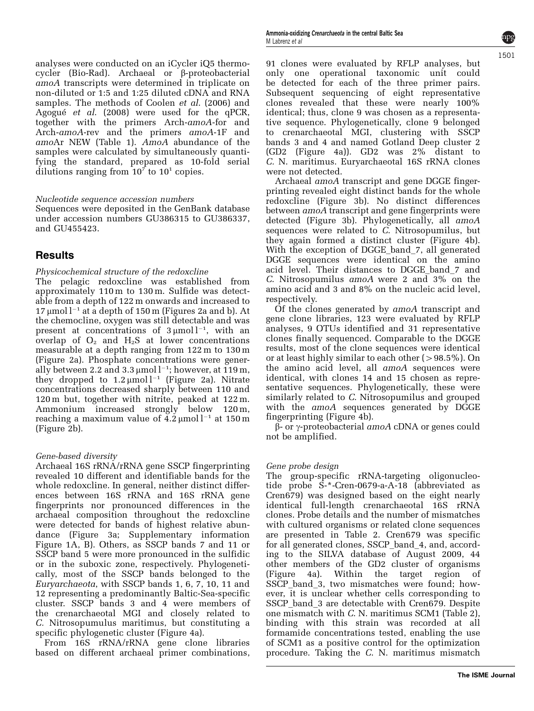analyses were conducted on an iCycler iQ5 thermocycler (Bio-Rad). Archaeal or b-proteobacterial amoA transcripts were determined in triplicate on non-diluted or 1:5 and 1:25 diluted cDNA and RNA samples. The methods of Coolen et al[. \(2006\)](#page-10-0) and Agogué et al[. \(2008\)](#page-10-0) were used for the qPCR, together with the primers Arch-amoA-for and Arch-amoA-rev and the primers amoA-1F and amoAr NEW [\(Table 1](#page-2-0)). AmoA abundance of the samples were calculated by simultaneously quantifying the standard, prepared as 10-fold serial dilutions ranging from  $10^7$  to  $10^1$  copies.

### Nucleotide sequence accession numbers

Sequences were deposited in the GenBank database under accession numbers GU386315 to GU386337, and GU455423.

### Results

### Physicochemical structure of the redoxcline

The pelagic redoxcline was established from approximately 110 m to 130 m. Sulfide was detectable from a depth of 122 m onwards and increased to  $17 \mu$ mol l<sup>-1</sup> at a depth of 150 m [\(Figures 2a and b\)](#page-3-0). At the chemocline, oxygen was still detectable and was present at concentrations of  $3 \mu$ moll<sup>-1</sup>, with an overlap of  $O_2$  and  $H_2S$  at lower concentrations measurable at a depth ranging from 122 m to 130 m [\(Figure 2a\)](#page-3-0). Phosphate concentrations were generally between 2.2 and 3.3  $\mu$ mol l<sup>-1</sup>; however, at 119 m, they dropped to  $1.2 \mu$ mol  $l^{-1}$  ([Figure 2a\)](#page-3-0). Nitrate concentrations decreased sharply between 110 and 120 m but, together with nitrite, peaked at 122 m. Ammonium increased strongly below 120 m, reaching a maximum value of  $4.2 \mu$ mol l<sup>-1</sup> at 150 m [\(Figure 2b\)](#page-3-0).

### Gene-based diversity

Archaeal 16S rRNA/rRNA gene SSCP fingerprinting revealed 10 different and identifiable bands for the whole redoxcline. In general, neither distinct differences between 16S rRNA and 16S rRNA gene fingerprints nor pronounced differences in the archaeal composition throughout the redoxcline were detected for bands of highest relative abundance ([Figure 3a;](#page-6-0) Supplementary information Figure 1A, B). Others, as SSCP bands 7 and 11 or SSCP band 5 were more pronounced in the sulfidic or in the suboxic zone, respectively. Phylogenetically, most of the SSCP bands belonged to the Euryarchaeota, with SSCP bands 1, 6, 7, 10, 11 and 12 representing a predominantly Baltic-Sea-specific cluster. SSCP bands 3 and 4 were members of the crenarchaeotal MGI and closely related to C. Nitrosopumulus maritimus, but constituting a specific phylogenetic cluster ([Figure 4a](#page-7-0)).

From 16S rRNA/rRNA gene clone libraries based on different archaeal primer combinations, 91 clones were evaluated by RFLP analyses, but only one operational taxonomic unit could be detected for each of the three primer pairs. Subsequent sequencing of eight representative clones revealed that these were nearly 100% identical; thus, clone 9 was chosen as a representative sequence. Phylogenetically, clone 9 belonged to crenarchaeotal MGI, clustering with SSCP bands 3 and 4 and named Gotland Deep cluster 2 (GD2 [\(Figure 4a\)](#page-7-0)). GD2 was 2% distant to C. N. maritimus. Euryarchaeotal 16S rRNA clones were not detected.

Archaeal amoA transcript and gene DGGE fingerprinting revealed eight distinct bands for the whole redoxcline [\(Figure 3b\)](#page-6-0). No distinct differences between amoA transcript and gene fingerprints were detected [\(Figure 3b](#page-6-0)). Phylogenetically, all amoA sequences were related to  $C$ . Nitrosopumilus, but they again formed a distinct cluster [\(Figure 4b\)](#page-7-0). With the exception of DGGE\_band\_7, all generated DGGE sequences were identical on the amino acid level. Their distances to DGGE band 7 and C. Nitrosopumilus amoA were 2 and 3% on the amino acid and 3 and 8% on the nucleic acid level, respectively.

Of the clones generated by amoA transcript and gene clone libraries, 123 were evaluated by RFLP analyses, 9 OTUs identified and 31 representative clones finally sequenced. Comparable to the DGGE results, most of the clone sequences were identical or at least highly similar to each other  $(>98.5\%)$ . On the amino acid level, all amoA sequences were identical, with clones 14 and 15 chosen as representative sequences. Phylogenetically, these were similarly related to C. Nitrosopumilus and grouped with the *amoA* sequences generated by DGGE fingerprinting [\(Figure 4b\)](#page-7-0).

 $\beta$ - or  $\gamma$ -proteobacterial amoA cDNA or genes could not be amplified.

### Gene probe design

The group-specific rRNA-targeting oligonucleotide probe S-\*-Cren-0679-a-A-18 (abbreviated as Cren679) was designed based on the eight nearly identical full-length crenarchaeotal 16S rRNA clones. Probe details and the number of mismatches with cultured organisms or related clone sequences are presented in [Table 2.](#page-4-0) Cren679 was specific for all generated clones, SSCP\_band\_4, and, according to the SILVA database of August 2009, 44 other members of the GD2 cluster of organisms the target region of SSCP\_band\_3, two mismatches were found; however, it is unclear whether cells corresponding to SSCP\_band\_3 are detectable with Cren679. Despite one mismatch with C. N. maritimus SCM1 ([Table 2\)](#page-4-0), binding with this strain was recorded at all formamide concentrations tested, enabling the use of SCM1 as a positive control for the optimization procedure. Taking the C. N. maritimus mismatch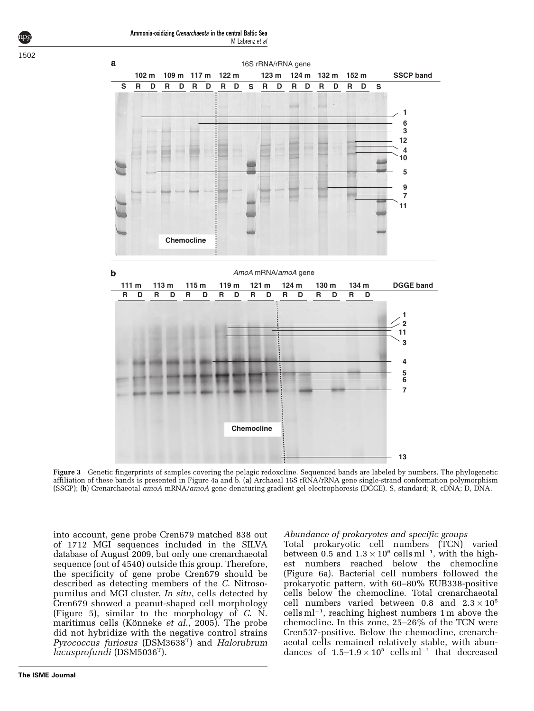<span id="page-6-0"></span>

Figure 3 Genetic fingerprints of samples covering the pelagic redoxcline. Sequenced bands are labeled by numbers. The phylogenetic affiliation of these bands is presented in [Figure 4a and b.](#page-7-0) (a) Archaeal 16S rRNA/rRNA gene single-strand conformation polymorphism (SSCP); (b) Crenarchaeotal amoA mRNA/amoA gene denaturing gradient gel electrophoresis (DGGE). S, standard; R, cDNA; D, DNA.

into account, gene probe Cren679 matched 838 out of 1712 MGI sequences included in the SILVA database of August 2009, but only one crenarchaeotal sequence (out of 4540) outside this group. Therefore, the specificity of gene probe Cren679 should be described as detecting members of the C. Nitrosopumilus and MGI cluster. In situ, cells detected by Cren679 showed a peanut-shaped cell morphology ([Figure 5\)](#page-7-0), similar to the morphology of C. N. maritimus cells (Könneke et al., 2005). The probe did not hybridize with the negative control strains Pyrococcus furiosus (DSM3638T) and Halorubrum lacusprofundi (DSM5036T).

### Abundance of prokaryotes and specific groups

Total prokaryotic cell numbers (TCN) varied between 0.5 and  $1.3 \times 10^6$  cells ml<sup>-1</sup>, with the highest numbers reached below the chemocline ([Figure 6a](#page-8-0)). Bacterial cell numbers followed the prokaryotic pattern, with 60–80% EUB338-positive cells below the chemocline. Total crenarchaeotal cell numbers varied between 0.8 and  $2.3 \times 10^5$  $cells ml<sup>-1</sup>$ , reaching highest numbers 1 m above the chemocline. In this zone, 25–26% of the TCN were Cren537-positive. Below the chemocline, crenarchaeotal cells remained relatively stable, with abundances of  $1.5-1.9 \times 10^5$  cells ml<sup>-1</sup> that decreased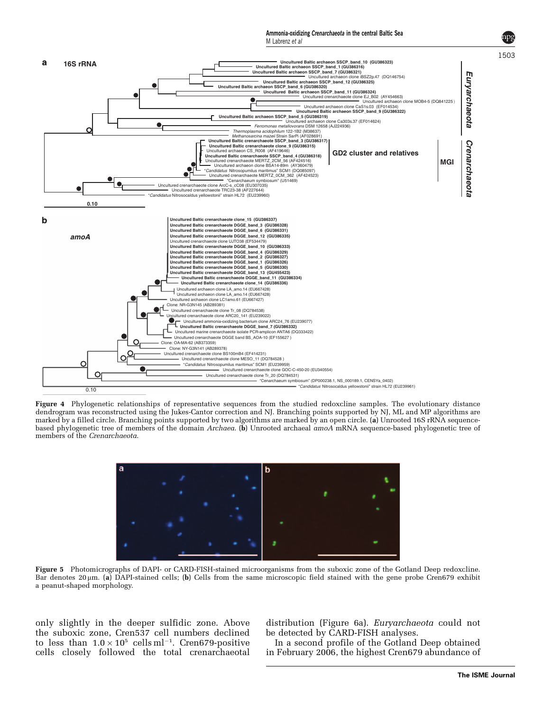M Labrenz et al

<span id="page-7-0"></span>

Figure 4 Phylogenetic relationships of representative sequences from the studied redoxcline samples. The evolutionary distance dendrogram was reconstructed using the Jukes-Cantor correction and NJ. Branching points supported by NJ, ML and MP algorithms are marked by a filled circle. Branching points supported by two algorithms are marked by an open circle. (a) Unrooted 16S rRNA sequencebased phylogenetic tree of members of the domain Archaea. (b) Unrooted archaeal amoA mRNA sequence-based phylogenetic tree of members of the Crenarchaeota.



Figure 5 Photomicrographs of DAPI- or CARD-FISH-stained microorganisms from the suboxic zone of the Gotland Deep redoxcline. Bar denotes 20 µm. (a) DAPI-stained cells; (b) Cells from the same microscopic field stained with the gene probe Cren679 exhibit a peanut-shaped morphology.

only slightly in the deeper sulfidic zone. Above the suboxic zone, Cren537 cell numbers declined to less than  $1.0 \times 10^5$  cells ml<sup>-1</sup>. Cren679-positive cells closely followed the total crenarchaeotal distribution ([Figure 6a](#page-8-0)). Euryarchaeota could not be detected by CARD-FISH analyses.

In a second profile of the Gotland Deep obtained in February 2006, the highest Cren679 abundance of

**The ISME Journal**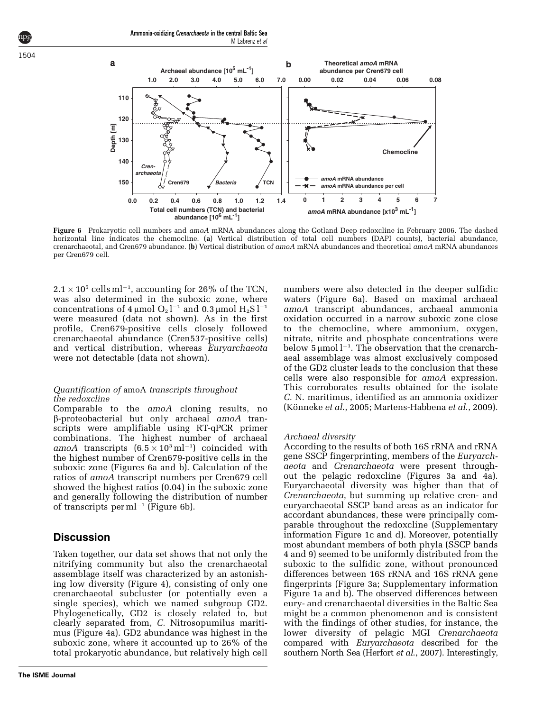<span id="page-8-0"></span>

Figure 6 Prokaryotic cell numbers and amoA mRNA abundances along the Gotland Deep redoxcline in February 2006. The dashed horizontal line indicates the chemocline. (a) Vertical distribution of total cell numbers (DAPI counts), bacterial abundance, crenarchaeotal, and Cren679 abundance. (b) Vertical distribution of amoA mRNA abundances and theoretical amoA mRNA abundances per Cren679 cell.

 $2.1 \times 10^5$  cells ml<sup>-1</sup>, accounting for 26% of the TCN, was also determined in the suboxic zone, where concentrations of  $4 \mu$ mol  $O_2$  l<sup>-1</sup> and 0.3  $\mu$ mol  $H_2$ S l<sup>-1</sup> were measured (data not shown). As in the first profile, Cren679-positive cells closely followed crenarchaeotal abundance (Cren537-positive cells) and vertical distribution, whereas Euryarchaeota were not detectable (data not shown).

#### Quantification of amoA transcripts throughout the redoxcline

Comparable to the amoA cloning results, no  $\beta$ -proteobacterial but only archaeal amoA transcripts were amplifiable using RT-qPCR primer combinations. The highest number of archaeal amoA transcripts  $(6.5 \times 10^3 \text{ m}^{-1})$  coincided with the highest number of Cren679-positive cells in the suboxic zone (Figures 6a and b). Calculation of the ratios of amoA transcript numbers per Cren679 cell showed the highest ratios (0.04) in the suboxic zone and generally following the distribution of number of transcripts per m $l^{-1}$  (Figure 6b).

### **Discussion**

Taken together, our data set shows that not only the nitrifying community but also the crenarchaeotal assemblage itself was characterized by an astonishing low diversity [\(Figure 4\)](#page-7-0), consisting of only one crenarchaeotal subcluster (or potentially even a single species), which we named subgroup GD2. Phylogenetically, GD2 is closely related to, but clearly separated from, C. Nitrosopumilus maritimus [\(Figure 4a](#page-7-0)). GD2 abundance was highest in the suboxic zone, where it accounted up to 26% of the total prokaryotic abundance, but relatively high cell numbers were also detected in the deeper sulfidic waters (Figure 6a). Based on maximal archaeal amoA transcript abundances, archaeal ammonia oxidation occurred in a narrow suboxic zone close to the chemocline, where ammonium, oxygen, nitrate, nitrite and phosphate concentrations were below  $5 \mu$ mol  $l^{-1}$ . The observation that the crenarchaeal assemblage was almost exclusively composed of the GD2 cluster leads to the conclusion that these cells were also responsible for amoA expression. This corroborates results obtained for the isolate C. N. maritimus, identified as an ammonia oxidizer (Könneke et al., 2005; [Martens-Habbena](#page-11-0) et al., 2009).

### Archaeal diversity

According to the results of both 16S rRNA and rRNA gene SSCP fingerprinting, members of the Euryarchaeota and Crenarchaeota were present throughout the pelagic redoxcline [\(Figures 3a and 4a](#page-6-0)). Euryarchaeotal diversity was higher than that of Crenarchaeota, but summing up relative cren- and euryarchaeotal SSCP band areas as an indicator for accordant abundances, these were principally comparable throughout the redoxcline (Supplementary information Figure 1c and d). Moreover, potentially most abundant members of both phyla (SSCP bands 4 and 9) seemed to be uniformly distributed from the suboxic to the sulfidic zone, without pronounced differences between 16S rRNA and 16S rRNA gene fingerprints [\(Figure 3a;](#page-6-0) Supplementary information Figure 1a and b). The observed differences between eury- and crenarchaeotal diversities in the Baltic Sea might be a common phenomenon and is consistent with the findings of other studies, for instance, the lower diversity of pelagic MGI Crenarchaeota compared with Euryarchaeota described for the southern North Sea [\(Herfort](#page-11-0) *et al.*, 2007). Interestingly,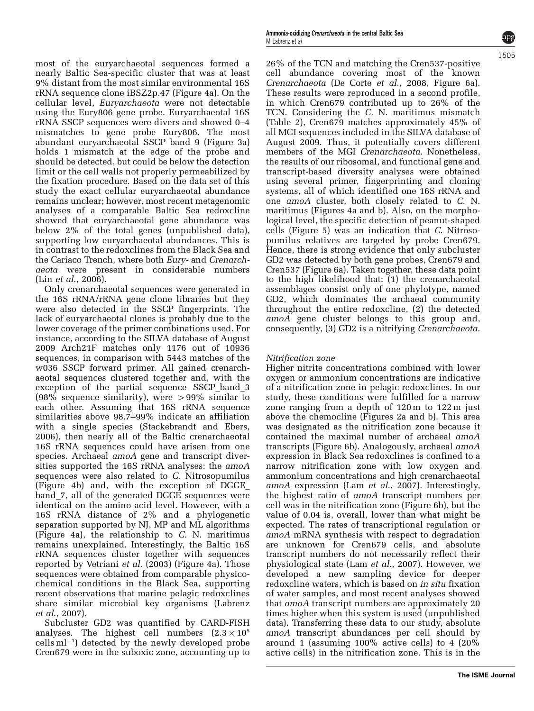most of the euryarchaeotal sequences formed a nearly Baltic Sea-specific cluster that was at least 9% distant from the most similar environmental 16S rRNA sequence clone iBSZ2p.47 ([Figure 4a\)](#page-7-0). On the cellular level, Euryarchaeota were not detectable using the Eury806 gene probe. Euryarchaeotal 16S rRNA SSCP sequences were divers and showed 0–4 mismatches to gene probe Eury806. The most abundant euryarchaeotal SSCP band 9 ([Figure 3a](#page-6-0)) holds 1 mismatch at the edge of the probe and should be detected, but could be below the detection limit or the cell walls not properly permeabilized by the fixation procedure. Based on the data set of this study the exact cellular euryarchaeotal abundance remains unclear; however, most recent metagenomic analyses of a comparable Baltic Sea redoxcline showed that euryarchaeotal gene abundance was below 2% of the total genes (unpublished data), supporting low euryarchaeotal abundances. This is in contrast to the redoxclines from the Black Sea and the Cariaco Trench, where both Eury- and Crenarchaeota were present in considerable numbers (Lin et al[., 2006](#page-11-0)).

Only crenarchaeotal sequences were generated in the 16S rRNA/rRNA gene clone libraries but they were also detected in the SSCP fingerprints. The lack of euryarchaeotal clones is probably due to the lower coverage of the primer combinations used. For instance, according to the SILVA database of August 2009 Arch21F matches only 1176 out of 10936 sequences, in comparison with 5443 matches of the w036 SSCP forward primer. All gained crenarchaeotal sequences clustered together and, with the exception of the partial sequence SSCP\_band\_3  $(98\%$  sequence similarity), were  $> 99\%$  similar to each other. Assuming that 16S rRNA sequence similarities above 98.7–99% indicate an affiliation with a single species [\(Stackebrandt and Ebers,](#page-12-0) [2006\)](#page-12-0), then nearly all of the Baltic crenarchaeotal 16S rRNA sequences could have arisen from one species. Archaeal *amoA* gene and transcript diversities supported the 16S rRNA analyses: the *amoA* sequences were also related to C. Nitrosopumilus [\(Figure 4b\)](#page-7-0) and, with the exception of DGGE\_ band\_7, all of the generated DGGE sequences were identical on the amino acid level. However, with a 16S rRNA distance of 2% and a phylogenetic separation supported by NJ, MP and ML algorithms [\(Figure 4a](#page-7-0)), the relationship to C. N. maritimus remains unexplained. Interestingly, the Baltic 16S rRNA sequences cluster together with sequences reported by [Vetriani](#page-12-0) et al. (2003) [\(Figure 4a](#page-7-0)). Those sequences were obtained from comparable physicochemical conditions in the Black Sea, supporting recent observations that marine pelagic redoxclines share similar microbial key organisms [\(Labrenz](#page-11-0) et al[., 2007\)](#page-11-0).

Subcluster GD2 was quantified by CARD-FISH analyses. The highest cell numbers  $(2.3 \times 10^5$  $\text{cells} \text{ ml}^{-1}$ ) detected by the newly developed probe Cren679 were in the suboxic zone, accounting up to

26% of the TCN and matching the Cren537-positive cell abundance covering most of the known Crenarchaeota ([De Corte](#page-10-0) et al., 2008, [Figure 6a\)](#page-8-0). These results were reproduced in a second profile, in which Cren679 contributed up to 26% of the TCN. Considering the C. N. maritimus mismatch [\(Table 2\)](#page-4-0), Cren679 matches approximately 45% of all MGI sequences included in the SILVA database of August 2009. Thus, it potentially covers different members of the MGI Crenarchaeota. Nonetheless, the results of our ribosomal, and functional gene and transcript-based diversity analyses were obtained using several primer, fingerprinting and cloning systems, all of which identified one 16S rRNA and one amoA cluster, both closely related to C. N. maritimus [\(Figures 4a and b](#page-7-0)). Also, on the morphological level, the specific detection of peanut-shaped cells ([Figure 5](#page-7-0)) was an indication that C. Nitrosopumilus relatives are targeted by probe Cren679. Hence, there is strong evidence that only subcluster GD2 was detected by both gene probes, Cren679 and Cren537 ([Figure 6a\)](#page-8-0). Taken together, these data point to the high likelihood that: (1) the crenarchaeotal assemblages consist only of one phylotype, named GD2, which dominates the archaeal community throughout the entire redoxcline, (2) the detected amoA gene cluster belongs to this group and, consequently, (3) GD2 is a nitrifying Crenarchaeota.

#### Nitrification zone

Higher nitrite concentrations combined with lower oxygen or ammonium concentrations are indicative of a nitrification zone in pelagic redoxclines. In our study, these conditions were fulfilled for a narrow zone ranging from a depth of 120 m to 122 m just above the chemocline [\(Figures 2a and b](#page-3-0)). This area was designated as the nitrification zone because it contained the maximal number of archaeal amoA transcripts ([Figure 6b](#page-8-0)). Analogously, archaeal amoA expression in Black Sea redoxclines is confined to a narrow nitrification zone with low oxygen and ammonium concentrations and high crenarchaeotal amoA expression (Lam et al[., 2007](#page-11-0)). Interestingly, the highest ratio of amoA transcript numbers per cell was in the nitrification zone ([Figure 6b\)](#page-8-0), but the value of 0.04 is, overall, lower than what might be expected. The rates of transcriptional regulation or amoA mRNA synthesis with respect to degradation are unknown for Cren679 cells, and absolute transcript numbers do not necessarily reflect their physiological state (Lam et al[., 2007\)](#page-11-0). However, we developed a new sampling device for deeper redoxcline waters, which is based on in situ fixation of water samples, and most recent analyses showed that amoA transcript numbers are approximately 20 times higher when this system is used (unpublished data). Transferring these data to our study, absolute amoA transcript abundances per cell should by around 1 (assuming 100% active cells) to 4 (20% active cells) in the nitrification zone. This is in the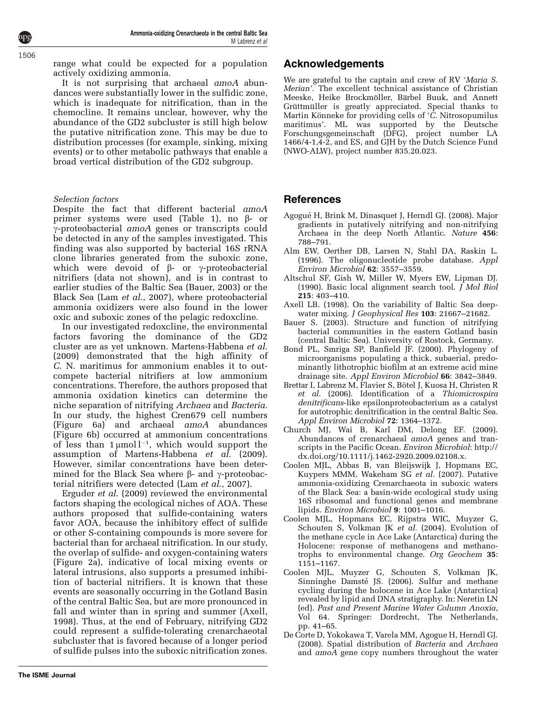<span id="page-10-0"></span>range what could be expected for a population actively oxidizing ammonia.

It is not surprising that archaeal *amoA* abundances were substantially lower in the sulfidic zone, which is inadequate for nitrification, than in the chemocline. It remains unclear, however, why the abundance of the GD2 subcluster is still high below the putative nitrification zone. This may be due to distribution processes (for example, sinking, mixing events) or to other metabolic pathways that enable a broad vertical distribution of the GD2 subgroup.

### Selection factors

Despite the fact that different bacterial amoA primer systems were used [\(Table 1\)](#page-2-0), no  $\beta$ - or  $\gamma$ -proteobacterial amoA genes or transcripts could be detected in any of the samples investigated. This finding was also supported by bacterial 16S rRNA clone libraries generated from the suboxic zone, which were devoid of  $\beta$ - or  $\gamma$ -proteobacterial nitrifiers (data not shown), and is in contrast to earlier studies of the Baltic Sea (Bauer, 2003) or the Black Sea (Lam et al[., 2007\)](#page-11-0), where proteobacterial ammonia oxidizers were also found in the lower oxic and suboxic zones of the pelagic redoxcline.

In our investigated redoxcline, the environmental factors favoring the dominance of the GD2 cluster are as yet unknown. [Martens-Habbena](#page-11-0) et al. [\(2009\)](#page-11-0) demonstrated that the high affinity of C. N. maritimus for ammonium enables it to outcompete bacterial nitrifiers at low ammonium concentrations. Therefore, the authors proposed that ammonia oxidation kinetics can determine the niche separation of nitrifying Archaea and Bacteria. In our study, the highest Cren679 cell numbers ([Figure 6a\)](#page-8-0) and archaeal amoA abundances ([Figure 6b\)](#page-8-0) occurred at ammonium concentrations of less than  $1 \mu$ moll<sup>-1</sup>, which would support the assumption of [Martens-Habbena](#page-11-0)  $et \bar{a}$ . (2009). However, similar concentrations have been determined for the Black Sea where  $\beta$ - and  $\gamma$ -proteobacterial nitrifiers were detected (Lam et al[., 2007](#page-11-0)).

[Erguder](#page-11-0) et al. (2009) reviewed the environmental factors shaping the ecological niches of AOA. These authors proposed that sulfide-containing waters favor AOA, because the inhibitory effect of sulfide or other S-containing compounds is more severe for bacterial than for archaeal nitrification. In our study, the overlap of sulfide- and oxygen-containing waters ([Figure 2a\)](#page-3-0), indicative of local mixing events or lateral intrusions, also supports a presumed inhibition of bacterial nitrifiers. It is known that these events are seasonally occurring in the Gotland Basin of the central Baltic Sea, but are more pronounced in fall and winter than in spring and summer (Axell, 1998). Thus, at the end of February, nitrifying GD2 could represent a sulfide-tolerating crenarchaeotal subcluster that is favored because of a longer period of sulfide pulses into the suboxic nitrification zones.

### Acknowledgements

We are grateful to the captain and crew of RV 'Maria S. Merian'. The excellent technical assistance of Christian Meeske, Heike Brockmöller, Bärbel Buuk, and Annett Grüttmüller is greatly appreciated. Special thanks to Martin Könneke for providing cells of  $\overline{C}$ . Nitrosopumilus maritimus'. ML was supported by the Deutsche Forschungsgemeinschaft (DFG), project number LA 1466/4-1,4-2, and ES, and GJH by the Dutch Science Fund (NWO-ALW), project number 835.20.023.

### References

- Agogué H, Brink M, Dinasquet J, Herndl GJ. (2008). Major gradients in putatively nitrifying and non-nitrifying Archaea in the deep North Atlantic. Nature 456: 788–791.
- Alm EW, Oerther DB, Larsen N, Stahl DA, Raskin L. (1996). The oligonucleotide probe database. Appl Environ Microbiol 62: 3557–3559.
- Altschul SF, Gish W, Miller W, Myers EW, Lipman DJ. (1990). Basic local alignment search tool.  $\overline{J}$  Mol Biol 215: 403–410.
- Axell LB. (1998). On the variability of Baltic Sea deepwater mixing. *J Geophysical Res* **103**: 21667–21682.
- Bauer S. (2003). Structure and function of nitrifying bacterial communities in the eastern Gotland basin (central Baltic Sea). University of Rostock, Germany.
- Bond PL, Smriga SP, Banfield JF. (2000). Phylogeny of microorganisms populating a thick, subaerial, predominantly lithotrophic biofilm at an extreme acid mine drainage site. Appl Environ Microbiol 66: 3842–3849.
- Brettar I, Labrenz M, Flavier S, Bötel J, Kuosa H, Christen R et al. (2006). Identification of a Thiomicrospira denitrificans-like epsilonproteobacterium as a catalyst for autotrophic denitrification in the central Baltic Sea. Appl Environ Microbiol 72: 1364–1372.
- Church MJ, Wai B, Karl DM, Delong EF. (2009). Abundances of crenarchaeal amoA genes and transcripts in the Pacific Ocean. Environ Microbiol: http:// dx.doi.org/10.1111/j.1462-2920.2009.02108.x.
- Coolen MJL, Abbas B, van Bleijswijk J, Hopmans EC, Kuypers MMM, Wakeham SG et al. (2007). Putative ammonia-oxidizing Crenarchaeota in suboxic waters of the Black Sea: a basin-wide ecological study using 16S ribosomal and functional genes and membrane lipids. Environ Microbiol 9: 1001–1016.
- Coolen MJL, Hopmans EC, Rijpstra WIC, Muyzer G, Schouten S, Volkman JK et al. (2004). Evolution of the methane cycle in Ace Lake (Antarctica) during the Holocene: response of methanogens and methanotrophs to environmental change. Org Geochem 35: 1151–1167.
- Coolen MJL, Muyzer G, Schouten S, Volkman JK, Sinninghe Damsté JS. (2006). Sulfur and methane cycling during the holocene in Ace Lake (Antarctica) revealed by lipid and DNA stratigraphy. In: Neretin LN (ed). Past and Present Marine Water Column Anoxia, Vol 64. Springer: Dordrecht, The Netherlands, pp. 41–65.
- De Corte D, Yokokawa T, Varela MM, Agogue H, Herndl GJ. (2008). Spatial distribution of Bacteria and Archaea and amoA gene copy numbers throughout the water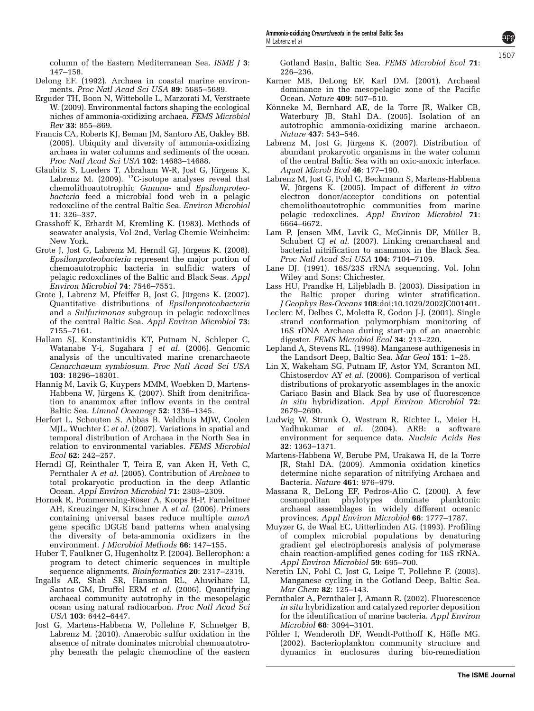<span id="page-11-0"></span>column of the Eastern Mediterranean Sea. ISME J 3: 147–158.

- Delong EF. (1992). Archaea in coastal marine environments. Proc Natl Acad Sci USA 89: 5685–5689.
- Erguder TH, Boon N, Wittebolle L, Marzorati M, Verstraete W. (2009). Environmental factors shaping the ecological niches of ammonia-oxidizing archaea. FEMS Microbiol Rev 33: 855–869.
- Francis CA, Roberts KJ, Beman JM, Santoro AE, Oakley BB. (2005). Ubiquity and diversity of ammonia-oxidizing archaea in water columns and sediments of the ocean. Proc Natl Acad Sci USA 102: 14683–14688.
- Glaubitz S, Lueders T, Abraham W-R, Jost G, Jürgens K, Labrenz M. (2009). <sup>13</sup>C-isotope analyses reveal that chemolithoautotrophic Gamma- and Epsilonproteobacteria feed a microbial food web in a pelagic redoxcline of the central Baltic Sea. Environ Microbiol 11: 326–337.
- Grasshoff K, Erhardt M, Kremling K. (1983). Methods of seawater analysis, Vol 2nd, Verlag Chemie Weinheim: New York.
- Grote J, Jost G, Labrenz M, Herndl GJ, Jürgens K. (2008). Epsilonproteobacteria represent the major portion of chemoautotrophic bacteria in sulfidic waters of pelagic redoxclines of the Baltic and Black Seas. Appl Environ Microbiol 74: 7546–7551.
- Grote J, Labrenz M, Pfeiffer B, Jost G, Jürgens K. (2007). Quantitative distributions of Epsilonproteobacteria and a Sulfurimonas subgroup in pelagic redoxclines of the central Baltic Sea. Appl Environ Microbiol 73: 7155–7161.
- Hallam SJ, Konstantinidis KT, Putnam N, Schleper C, Watanabe Y-i, Sugahara J et al. (2006). Genomic analysis of the uncultivated marine crenarchaeote Cenarchaeum symbiosum. Proc Natl Acad Sci USA 103: 18296–18301.
- Hannig M, Lavik G, Kuypers MMM, Woebken D, Martens-Habbena W, Jürgens K. (2007). Shift from denitrification to anammox after inflow events in the central Baltic Sea. Limnol Oceanogr 52: 1336–1345.
- Herfort L, Schouten S, Abbas B, Veldhuis MJW, Coolen MJL, Wuchter C et al. (2007). Variations in spatial and temporal distribution of Archaea in the North Sea in relation to environmental variables. FEMS Microbiol Ecol 62: 242–257.
- Herndl GJ, Reinthaler T, Teira E, van Aken H, Veth C, Pernthaler A et al. (2005). Contribution of Archaea to total prokaryotic production in the deep Atlantic Ocean. Appl Environ Microbiol 71: 2303–2309.
- Hornek R, Pommerening-Röser A, Koops H-P, Farnleitner AH, Kreuzinger N, Kirschner A et al. (2006). Primers containing universal bases reduce multiple amoA gene specific DGGE band patterns when analysing the diversity of beta-ammonia oxidizers in the environment. J Microbiol Methods 66: 147–155.
- Huber T, Faulkner G, Hugenholtz P. (2004). Bellerophon: a program to detect chimeric sequences in multiple sequence alignments. Bioinformatics 20: 2317–2319.
- Ingalls AE, Shah SR, Hansman RL, Aluwihare LI, Santos GM, Druffel ERM et al. (2006). Quantifying archaeal community autotrophy in the mesopelagic ocean using natural radiocarbon. Proc Natl Acad Sci USA 103: 6442–6447.
- Jost G, Martens-Habbena W, Pollehne F, Schnetger B, Labrenz M. (2010). Anaerobic sulfur oxidation in the absence of nitrate dominates microbial chemoautotrophy beneath the pelagic chemocline of the eastern

Gotland Basin, Baltic Sea. FEMS Microbiol Ecol 71: 226–236.

- Karner MB, DeLong EF, Karl DM. (2001). Archaeal dominance in the mesopelagic zone of the Pacific Ocean. Nature 409: 507–510.
- Könneke M, Bernhard AE, de la Torre JR, Walker CB, Waterbury JB, Stahl DA. (2005). Isolation of an autotrophic ammonia-oxidizing marine archaeon. Nature 437: 543–546.
- Labrenz M, Jost G, Jürgens K. (2007). Distribution of abundant prokaryotic organisms in the water column of the central Baltic Sea with an oxic-anoxic interface. Aquat Microb Ecol 46: 177–190.
- Labrenz M, Jost G, Pohl C, Beckmann S, Martens-Habbena W, Jürgens K. (2005). Impact of different in vitro electron donor/acceptor conditions on potential chemolithoautotrophic communities from marine pelagic redoxclines. Appl Environ Microbiol 71: 6664–6672.
- Lam P, Jensen MM, Lavik G, McGinnis DF, Müller B, Schubert CJ et al. (2007). Linking crenarchaeal and bacterial nitrification to anammox in the Black Sea. Proc Natl Acad Sci USA 104: 7104–7109.
- Lane DJ. (1991). 16S/23S rRNA sequencing, Vol. John Wiley and Sons: Chichester.
- Lass HU, Prandke H, Liljebladh B. (2003). Dissipation in the Baltic proper during winter stratification. J Geophys Res-Oceans 108:doi:10.1029/2002JC001401.
- Leclerc M, Delbes C, Moletta R, Godon J-J. (2001). Single strand conformation polymorphism monitoring of 16S rDNA Archaea during start-up of an anaerobic digester. FEMS Microbiol Ecol 34: 213–220.
- Lepland A, Stevens RL. (1998). Manganese authigenesis in the Landsort Deep, Baltic Sea. Mar Geol 151: 1–25.
- Lin X, Wakeham SG, Putnam IF, Astor YM, Scranton MI, Chistoserdov AY et al. (2006). Comparison of vertical distributions of prokaryotic assemblages in the anoxic Cariaco Basin and Black Sea by use of fluorescence in situ hybridization. Appl Environ Microbiol 72: 2679–2690.
- Ludwig W, Strunk O, Westram R, Richter L, Meier H, Yadhukumar et al. (2004). ARB: a software environment for sequence data. Nucleic Acids Res 32: 1363–1371.
- Martens-Habbena W, Berube PM, Urakawa H, de la Torre JR, Stahl DA. (2009). Ammonia oxidation kinetics determine niche separation of nitrifying Archaea and Bacteria. Nature 461: 976–979.
- Massana R, DeLong EF, Pedros-Alio C. (2000). A few cosmopolitan phylotypes dominate planktonic archaeal assemblages in widely different oceanic provinces. Appl Environ Microbiol 66: 1777–1787.
- Muyzer G, de Waal EC, Uitterlinden AG. (1993). Profiling of complex microbial populations by denaturing gradient gel electrophoresis analysis of polymerase chain reaction-amplified genes coding for 16S rRNA. Appl Environ Microbiol 59: 695–700.
- Neretin LN, Pohl C, Jost G, Leipe T, Pollehne F. (2003). Manganese cycling in the Gotland Deep, Baltic Sea. Mar Chem 82: 125–143.
- Pernthaler A, Pernthaler J, Amann R. (2002). Fluorescence in situ hybridization and catalyzed reporter deposition for the identification of marine bacteria. Appl Environ Microbiol 68: 3094–3101.
- Pöhler I, Wenderoth DF, Wendt-Potthoff K, Höfle MG. (2002). Bacterioplankton community structure and dynamics in enclosures during bio-remediation